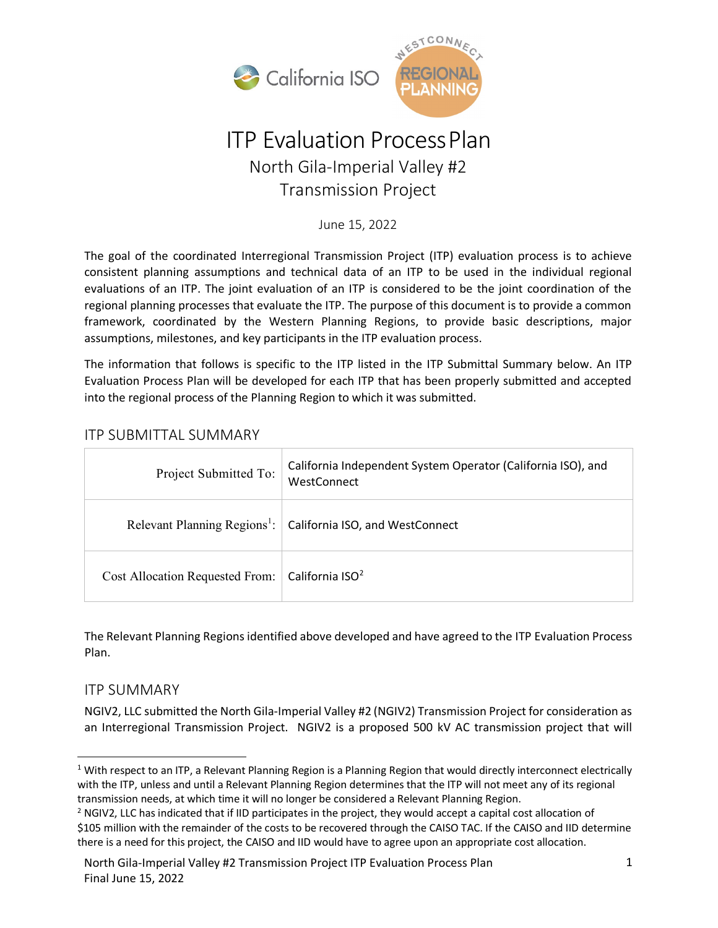

# ITP Evaluation ProcessPlan North Gila-Imperial Valley #2 Transmission Project

June 15, 2022

The goal of the coordinated Interregional Transmission Project (ITP) evaluation process is to achieve consistent planning assumptions and technical data of an ITP to be used in the individual regional evaluations of an ITP. The joint evaluation of an ITP is considered to be the joint coordination of the regional planning processes that evaluate the ITP. The purpose of this document is to provide a common framework, coordinated by the Western Planning Regions, to provide basic descriptions, major assumptions, milestones, and key participants in the ITP evaluation process.

The information that follows is specific to the ITP listed in the ITP Submittal Summary below. An ITP Evaluation Process Plan will be developed for each ITP that has been properly submitted and accepted into the regional process of the Planning Region to which it was submitted.

## ITP SUBMITTAL SUMMARY

| Project Submitted To:                                         | California Independent System Operator (California ISO), and<br>WestConnect |
|---------------------------------------------------------------|-----------------------------------------------------------------------------|
|                                                               | Relevant Planning Regions <sup>1</sup> : California ISO, and WestConnect    |
| Cost Allocation Requested From:   California ISO <sup>2</sup> |                                                                             |

The Relevant Planning Regions identified above developed and have agreed to the ITP Evaluation Process Plan.

## ITP SUMMARY

NGIV2, LLC submitted the North Gila-Imperial Valley #2 (NGIV2) Transmission Project for consideration as an Interregional Transmission Project. NGIV2 is a proposed 500 kV AC transmission project that will

<span id="page-0-0"></span> $1$  With respect to an ITP, a Relevant Planning Region is a Planning Region that would directly interconnect electrically with the ITP, unless and until a Relevant Planning Region determines that the ITP will not meet any of its regional transmission needs, at which time it will no longer be considered a Relevant Planning Region.

<span id="page-0-1"></span> $<sup>2</sup>$  NGIV2, LLC has indicated that if IID participates in the project, they would accept a capital cost allocation of</sup> \$105 million with the remainder of the costs to be recovered through the CAISO TAC. If the CAISO and IID determine there is a need for this project, the CAISO and IID would have to agree upon an appropriate cost allocation.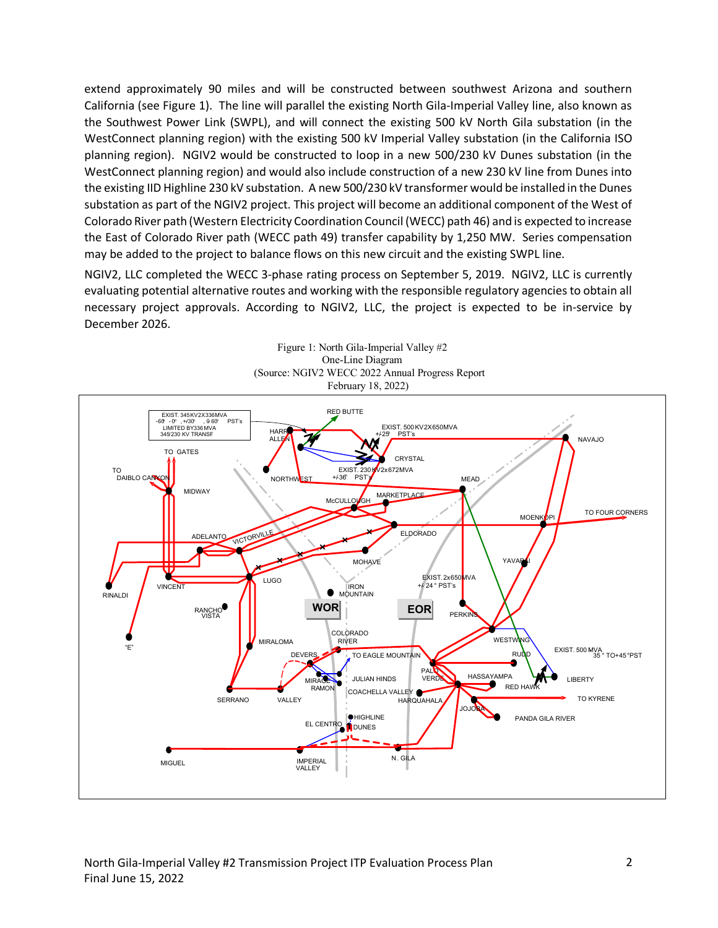extend approximately 90 miles and will be constructed between southwest Arizona and southern California (see Figure 1). The line will parallel the existing North Gila-Imperial Valley line, also known as the Southwest Power Link (SWPL), and will connect the existing 500 kV North Gila substation (in the WestConnect planning region) with the existing 500 kV Imperial Valley substation (in the California ISO planning region). NGIV2 would be constructed to loop in a new 500/230 kV Dunes substation (in the WestConnect planning region) and would also include construction of a new 230 kV line from Dunes into the existing IID Highline 230 kV substation. A new 500/230 kV transformer would be installed in the Dunes substation as part of the NGIV2 project. This project will become an additional component of the West of Colorado River path (Western Electricity Coordination Council (WECC) path 46) and is expected to increase the East of Colorado River path (WECC path 49) transfer capability by 1,250 MW. Series compensation may be added to the project to balance flows on this new circuit and the existing SWPL line.

NGIV2, LLC completed the WECC 3-phase rating process on September 5, 2019. NGIV2, LLC is currently evaluating potential alternative routes and working with the responsible regulatory agencies to obtain all necessary project approvals. According to NGIV2, LLC, the project is expected to be in-service by December 2026.



Figure 1: North Gila-Imperial Valley #2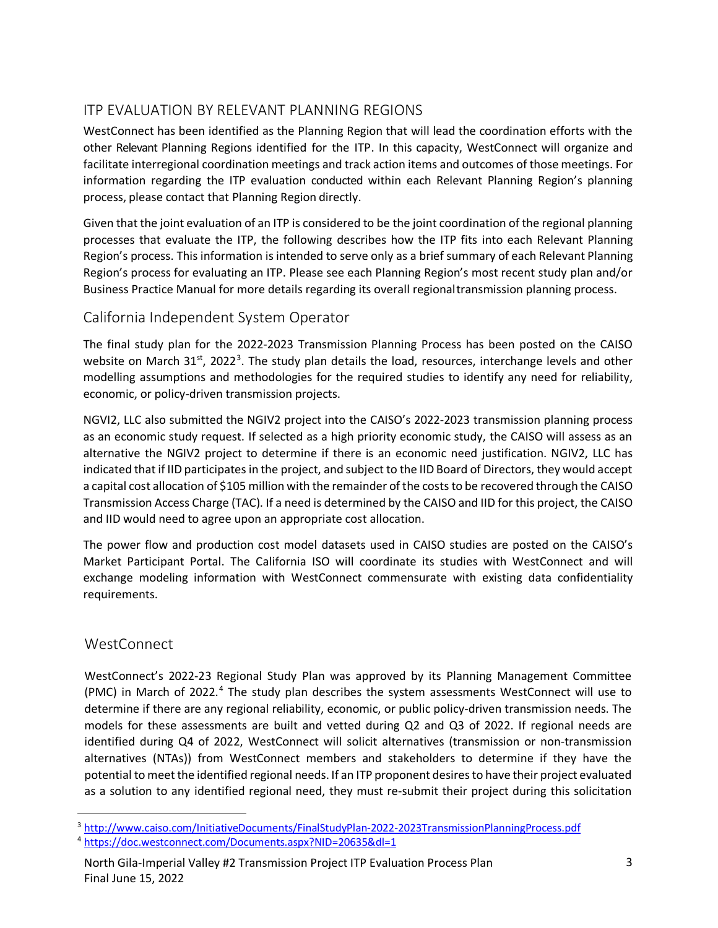## ITP EVALUATION BY RELEVANT PLANNING REGIONS

WestConnect has been identified as the Planning Region that will lead the coordination efforts with the other Relevant Planning Regions identified for the ITP. In this capacity, WestConnect will organize and facilitate interregional coordination meetings and track action items and outcomes of those meetings. For information regarding the ITP evaluation conducted within each Relevant Planning Region's planning process, please contact that Planning Region directly.

Given that the joint evaluation of an ITP is considered to be the joint coordination of the regional planning processes that evaluate the ITP, the following describes how the ITP fits into each Relevant Planning Region's process. This information is intended to serve only as a brief summary of each Relevant Planning Region's process for evaluating an ITP. Please see each Planning Region's most recent study plan and/or Business Practice Manual for more details regarding its overall regionaltransmission planning process.

## California Independent System Operator

The final study plan for the 2022-2023 Transmission Planning Process has been posted on the CAISO website on March [3](#page-2-0)1 $\mathrm{^{st}}$ , 2022<sup>3</sup>. The study plan details the load, resources, interchange levels and other modelling assumptions and methodologies for the required studies to identify any need for reliability, economic, or policy-driven transmission projects.

NGVI2, LLC also submitted the NGIV2 project into the CAISO's 2022-2023 transmission planning process as an economic study request. If selected as a high priority economic study, the CAISO will assess as an alternative the NGIV2 project to determine if there is an economic need justification. NGIV2, LLC has indicated that if IID participates in the project, and subject to the IID Board of Directors, they would accept a capital cost allocation of \$105 million with the remainder of the costs to be recovered through the CAISO Transmission Access Charge (TAC). If a need is determined by the CAISO and IID for this project, the CAISO and IID would need to agree upon an appropriate cost allocation.

The power flow and production cost model datasets used in CAISO studies are posted on the CAISO's Market Participant Portal. The California ISO will coordinate its studies with WestConnect and will exchange modeling information with WestConnect commensurate with existing data confidentiality requirements.

## **WestConnect**

WestConnect's 2022-23 Regional Study Plan was approved by its Planning Management Committee (PMC) in March of 2022.<sup>[4](#page-2-1)</sup> The study plan describes the system assessments WestConnect will use to determine if there are any regional reliability, economic, or public policy-driven transmission needs. The models for these assessments are built and vetted during Q2 and Q3 of 2022. If regional needs are identified during Q4 of 2022, WestConnect will solicit alternatives (transmission or non-transmission alternatives (NTAs)) from WestConnect members and stakeholders to determine if they have the potential to meet the identified regional needs. If an ITP proponent desires to have their project evaluated as a solution to any identified regional need, they must re-submit their project during this solicitation

<span id="page-2-0"></span><sup>&</sup>lt;sup>3</sup> http://www.caiso.com/InitiativeDocuments/FinalStudyPlan-2022-2023TransmissionPlanningProcess.pdf<br><sup>4</sup> https://doc.westconnect.com/Documents.aspx?NID=20635&dl=1

<span id="page-2-1"></span>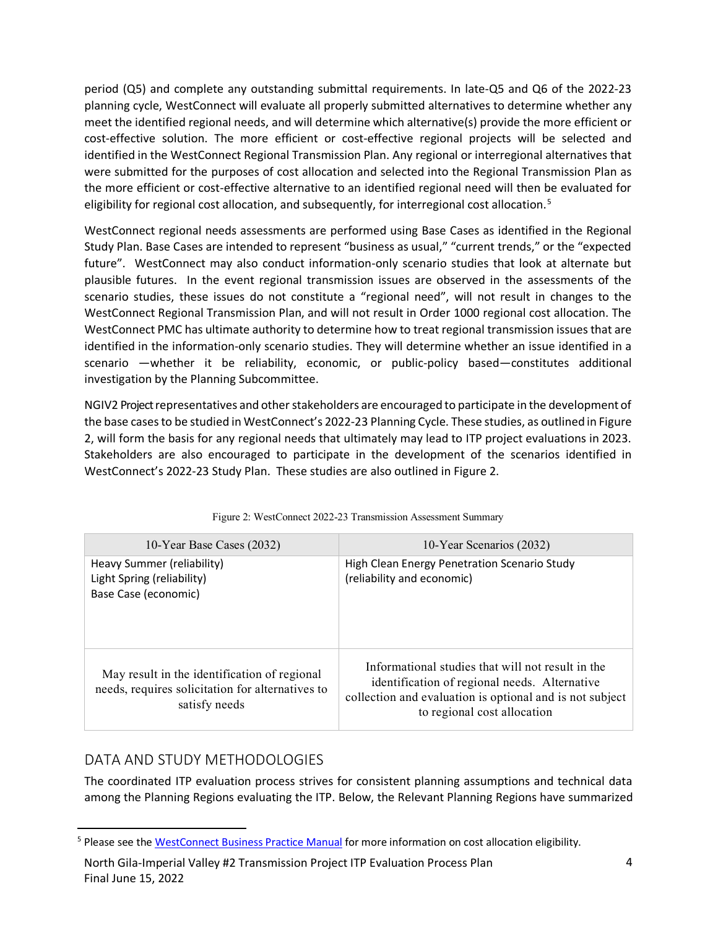period (Q5) and complete any outstanding submittal requirements. In late-Q5 and Q6 of the 2022-23 planning cycle, WestConnect will evaluate all properly submitted alternatives to determine whether any meet the identified regional needs, and will determine which alternative(s) provide the more efficient or cost-effective solution. The more efficient or cost-effective regional projects will be selected and identified in the WestConnect Regional Transmission Plan. Any regional or interregional alternatives that were submitted for the purposes of cost allocation and selected into the Regional Transmission Plan as the more efficient or cost-effective alternative to an identified regional need will then be evaluated for eligibility for regional cost allocation, and subsequently, for interregional cost allocation.<sup>[5](#page-3-0)</sup>

WestConnect regional needs assessments are performed using Base Cases as identified in the Regional Study Plan. Base Cases are intended to represent "business as usual," "current trends," or the "expected future". WestConnect may also conduct information-only scenario studies that look at alternate but plausible futures. In the event regional transmission issues are observed in the assessments of the scenario studies, these issues do not constitute a "regional need", will not result in changes to the WestConnect Regional Transmission Plan, and will not result in Order 1000 regional cost allocation. The WestConnect PMC has ultimate authority to determine how to treat regional transmission issues that are identified in the information-only scenario studies. They will determine whether an issue identified in a scenario —whether it be reliability, economic, or public-policy based—constitutes additional investigation by the Planning Subcommittee.

NGIV2 Project representatives and other stakeholders are encouraged to participate in the development of the base cases to be studied in WestConnect's 2022-23 Planning Cycle. These studies, as outlined in Figure 2, will form the basis for any regional needs that ultimately may lead to ITP project evaluations in 2023. Stakeholders are also encouraged to participate in the development of the scenarios identified in WestConnect's 2022-23 Study Plan. These studies are also outlined in Figure 2.

| 10-Year Base Cases (2032)                                                                                         | 10-Year Scenarios (2032)                                                                                                                                                                      |
|-------------------------------------------------------------------------------------------------------------------|-----------------------------------------------------------------------------------------------------------------------------------------------------------------------------------------------|
| Heavy Summer (reliability)<br>Light Spring (reliability)<br>Base Case (economic)                                  | High Clean Energy Penetration Scenario Study<br>(reliability and economic)                                                                                                                    |
| May result in the identification of regional<br>needs, requires solicitation for alternatives to<br>satisfy needs | Informational studies that will not result in the<br>identification of regional needs. Alternative<br>collection and evaluation is optional and is not subject<br>to regional cost allocation |

| Figure 2: WestConnect 2022-23 Transmission Assessment Summary |  |  |
|---------------------------------------------------------------|--|--|
|                                                               |  |  |

## DATA AND STUDY METHODOLOGIES

The coordinated ITP evaluation process strives for consistent planning assumptions and technical data among the Planning Regions evaluating the ITP. Below, the Relevant Planning Regions have summarized

<span id="page-3-0"></span><sup>&</sup>lt;sup>5</sup> Please see the **WestConnect Business Practice Manual** for more information on cost allocation eligibility.

North Gila-Imperial Valley #2 Transmission Project ITP Evaluation Process Plan 4 Final June 15, 2022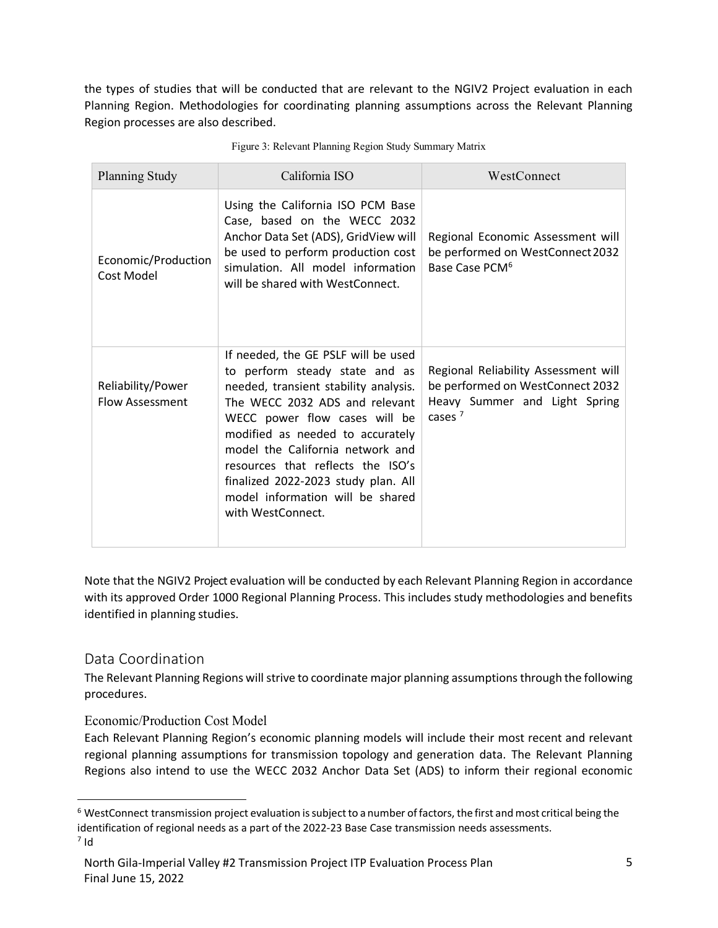the types of studies that will be conducted that are relevant to the NGIV2 Project evaluation in each Planning Region. Methodologies for coordinating planning assumptions across the Relevant Planning Region processes are also described.

| Planning Study                              | California ISO                                                                                                                                                                                                                                                                                                                                                                                 | WestConnect                                                                                                            |
|---------------------------------------------|------------------------------------------------------------------------------------------------------------------------------------------------------------------------------------------------------------------------------------------------------------------------------------------------------------------------------------------------------------------------------------------------|------------------------------------------------------------------------------------------------------------------------|
| Economic/Production<br>Cost Model           | Using the California ISO PCM Base<br>Case, based on the WECC 2032<br>Anchor Data Set (ADS), GridView will<br>be used to perform production cost<br>simulation. All model information<br>will be shared with WestConnect.                                                                                                                                                                       | Regional Economic Assessment will<br>be performed on WestConnect 2032<br>Base Case PCM <sup>6</sup>                    |
| Reliability/Power<br><b>Flow Assessment</b> | If needed, the GE PSLF will be used<br>to perform steady state and as<br>needed, transient stability analysis.<br>The WECC 2032 ADS and relevant<br>WECC power flow cases will be<br>modified as needed to accurately<br>model the California network and<br>resources that reflects the ISO's<br>finalized 2022-2023 study plan. All<br>model information will be shared<br>with WestConnect. | Regional Reliability Assessment will<br>be performed on WestConnect 2032<br>Heavy Summer and Light Spring<br>cases $7$ |

Figure 3: Relevant Planning Region Study Summary Matrix

Note that the NGIV2 Project evaluation will be conducted by each Relevant Planning Region in accordance with its approved Order 1000 Regional Planning Process. This includes study methodologies and benefits identified in planning studies.

#### Data Coordination

The Relevant Planning Regions will strive to coordinate major planning assumptions through the following procedures.

#### Economic/Production Cost Model

Each Relevant Planning Region's economic planning models will include their most recent and relevant regional planning assumptions for transmission topology and generation data. The Relevant Planning Regions also intend to use the WECC 2032 Anchor Data Set (ADS) to inform their regional economic

<span id="page-4-0"></span><sup>&</sup>lt;sup>6</sup> WestConnect transmission project evaluation is subject to a number of factors, the first and most critical being the identification of regional needs as a part of the 2022-23 Base Case transmission needs assessments.

<span id="page-4-1"></span> $7$  Id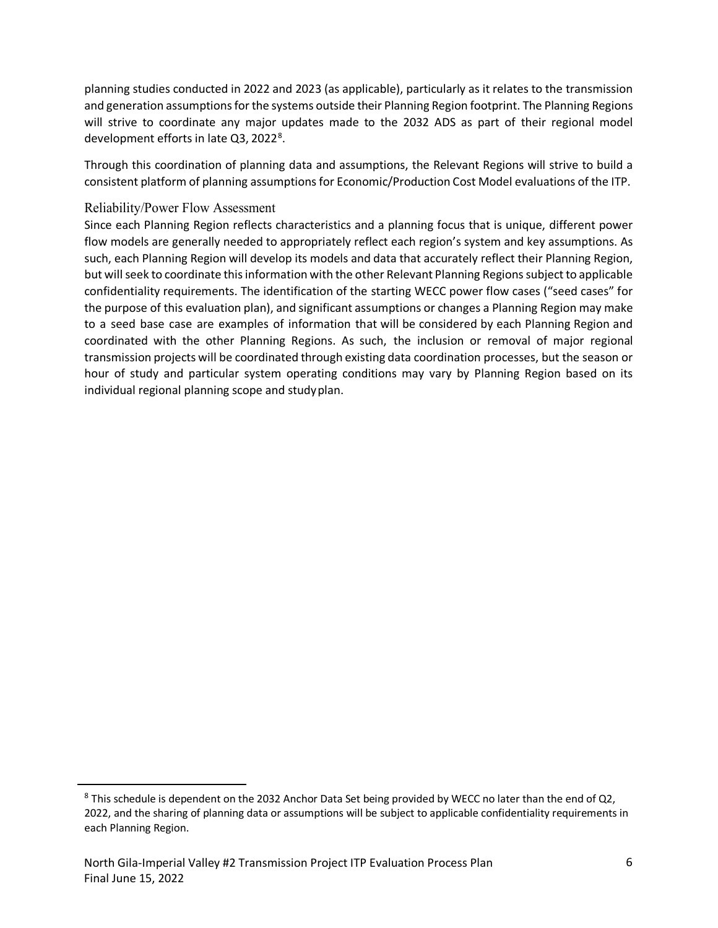planning studies conducted in 2022 and 2023 (as applicable), particularly as it relates to the transmission and generation assumptions for the systems outside their Planning Region footprint. The Planning Regions will strive to coordinate any major updates made to the 2032 ADS as part of their regional model development efforts in late Q3, 2022<sup>[8](#page-5-0)</sup>.

Through this coordination of planning data and assumptions, the Relevant Regions will strive to build a consistent platform of planning assumptions for Economic/Production Cost Model evaluations of the ITP.

#### Reliability/Power Flow Assessment

Since each Planning Region reflects characteristics and a planning focus that is unique, different power flow models are generally needed to appropriately reflect each region's system and key assumptions. As such, each Planning Region will develop its models and data that accurately reflect their Planning Region, but will seek to coordinate this information with the other Relevant Planning Regions subject to applicable confidentiality requirements. The identification of the starting WECC power flow cases ("seed cases" for the purpose of this evaluation plan), and significant assumptions or changes a Planning Region may make to a seed base case are examples of information that will be considered by each Planning Region and coordinated with the other Planning Regions. As such, the inclusion or removal of major regional transmission projects will be coordinated through existing data coordination processes, but the season or hour of study and particular system operating conditions may vary by Planning Region based on its individual regional planning scope and studyplan.

<span id="page-5-0"></span><sup>&</sup>lt;sup>8</sup> This schedule is dependent on the 2032 Anchor Data Set being provided by WECC no later than the end of Q2, 2022, and the sharing of planning data or assumptions will be subject to applicable confidentiality requirements in each Planning Region.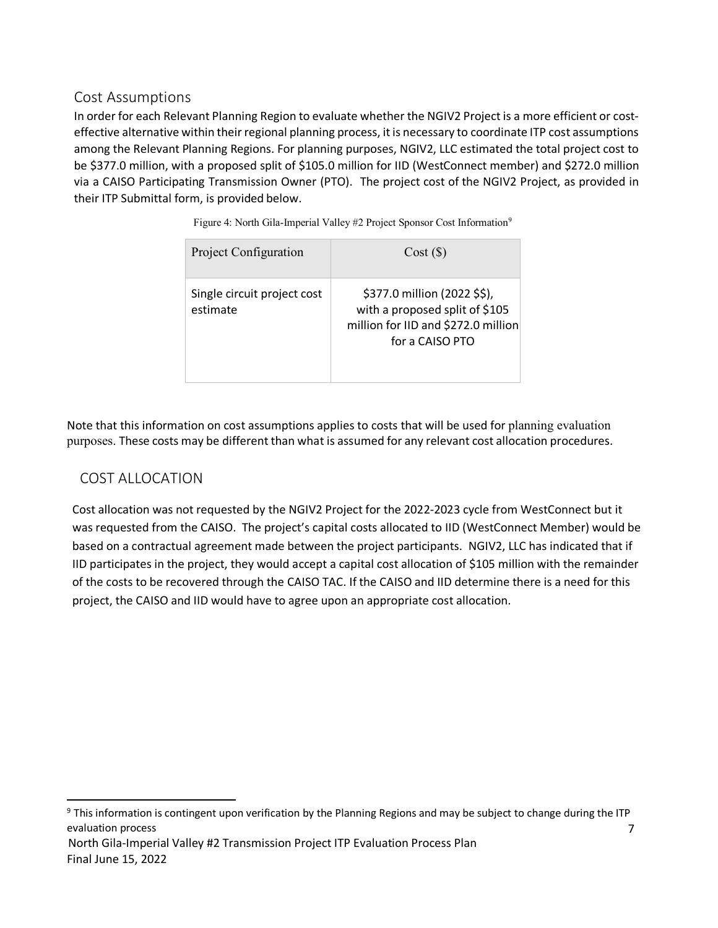## Cost Assumptions

In order for each Relevant Planning Region to evaluate whether the NGIV2 Project is a more efficient or costeffective alternative within their regional planning process, it is necessary to coordinate ITP cost assumptions among the Relevant Planning Regions. For planning purposes, NGIV2, LLC estimated the total project cost to be \$377.0 million, with a proposed split of \$105.0 million for IID (WestConnect member) and \$272.0 million via a CAISO Participating Transmission Owner (PTO). The project cost of the NGIV2 Project, as provided in their ITP Submittal form, is provided below.

| Project Configuration                   | Cost(S)                                                                                                                  |
|-----------------------------------------|--------------------------------------------------------------------------------------------------------------------------|
| Single circuit project cost<br>estimate | \$377.0 million (2022 \$\$),<br>with a proposed split of \$105<br>million for IID and \$272.0 million<br>for a CAISO PTO |

Figure 4: North Gila-Imperial Valley #2 Project Sponsor Cost Information<sup>[9](#page-6-0)</sup>

Note that this information on cost assumptions applies to costs that will be used for planning evaluation purposes. These costs may be different than what is assumed for any relevant cost allocation procedures.

#### COST ALLOCATION

Cost allocation was not requested by the NGIV2 Project for the 2022-2023 cycle from WestConnect but it was requested from the CAISO. The project's capital costs allocated to IID (WestConnect Member) would be based on a contractual agreement made between the project participants. NGIV2, LLC has indicated that if IID participates in the project, they would accept a capital cost allocation of \$105 million with the remainder of the costs to be recovered through the CAISO TAC. If the CAISO and IID determine there is a need for this project, the CAISO and IID would have to agree upon an appropriate cost allocation.

<span id="page-6-0"></span><sup>7</sup> North Gila-Imperial Valley #2 Transmission Project ITP Evaluation Process Plan Final June 15, 2022  $9$  This information is contingent upon verification by the Planning Regions and may be subject to change during the ITP evaluation process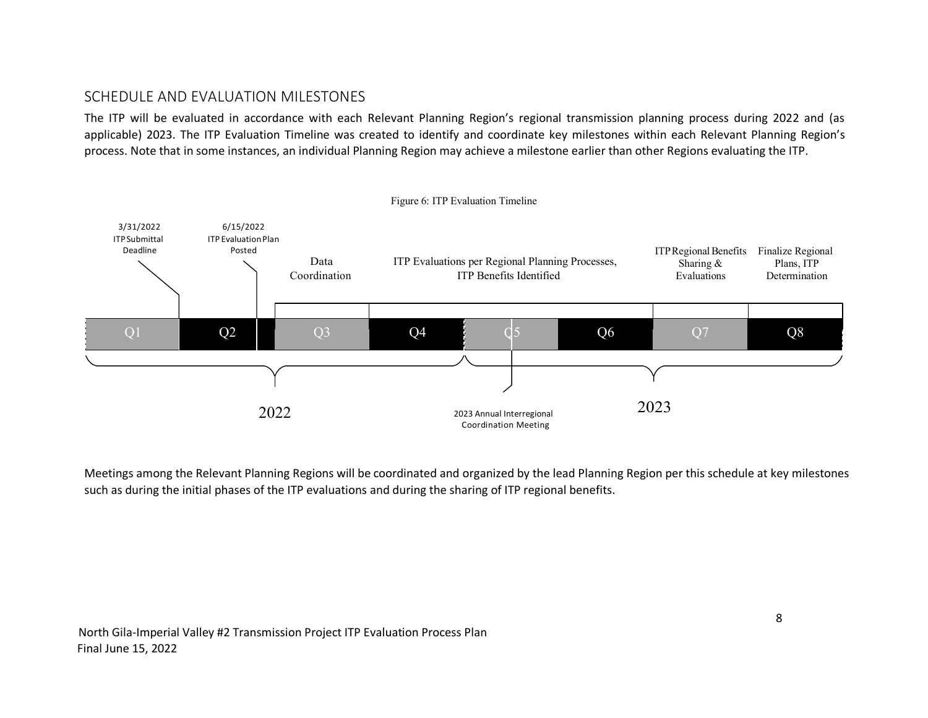## SCHEDULE AND EVALUATION MILESTONES

The ITP will be evaluated in accordance with each Relevant Planning Region's regional transmission planning process during 2022 and (as applicable) 2023. The ITP Evaluation Timeline was created to identify and coordinate key milestones within each Relevant Planning Region's process. Note that in some instances, an individual Planning Region may achieve a milestone earlier than other Regions evaluating the ITP.



Meetings among the Relevant Planning Regions will be coordinated and organized by the lead Planning Region per this schedule at key milestones such as during the initial phases of the ITP evaluations and during the sharing of ITP regional benefits.